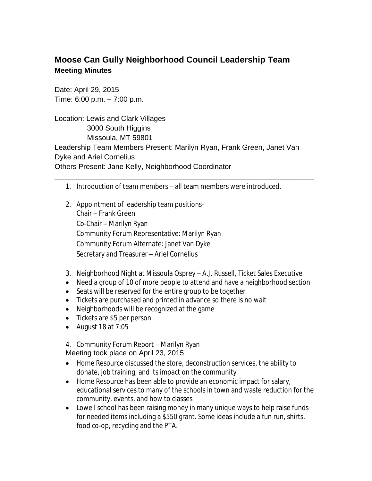## **Moose Can Gully Neighborhood Council Leadership Team Meeting Minutes**

Date: April 29, 2015 Time: 6:00 p.m. – 7:00 p.m.

Location: Lewis and Clark Villages 3000 South Higgins Missoula, MT 59801 Leadership Team Members Present: Marilyn Ryan, Frank Green, Janet Van Dyke and Ariel Cornelius Others Present: Jane Kelly, Neighborhood Coordinator

1. Introduction of team members – all team members were introduced.

\_\_\_\_\_\_\_\_\_\_\_\_\_\_\_\_\_\_\_\_\_\_\_\_\_\_\_\_\_\_\_\_\_\_\_\_\_\_\_\_\_\_\_\_\_\_\_\_\_\_\_\_\_\_\_\_\_\_\_\_\_\_\_\_

- 2. Appointment of leadership team positions-Chair – Frank Green Co-Chair – Marilyn Ryan Community Forum Representative: Marilyn Ryan Community Forum Alternate: Janet Van Dyke Secretary and Treasurer – Ariel Cornelius
- 3. Neighborhood Night at Missoula Osprey A.J. Russell, Ticket Sales Executive
- Need a group of 10 of more people to attend and have a neighborhood section
- Seats will be reserved for the entire group to be together
- Tickets are purchased and printed in advance so there is no wait
- Neighborhoods will be recognized at the game
- Tickets are \$5 per person
- August 18 at  $7:05$
- 4. Community Forum Report Marilyn Ryan

Meeting took place on April 23, 2015

- Home Resource discussed the store, deconstruction services, the ability to donate, job training, and its impact on the community
- Home Resource has been able to provide an economic impact for salary, educational services to many of the schools in town and waste reduction for the community, events, and how to classes
- Lowell school has been raising money in many unique ways to help raise funds for needed items including a \$550 grant. Some ideas include a fun run, shirts, food co-op, recycling and the PTA.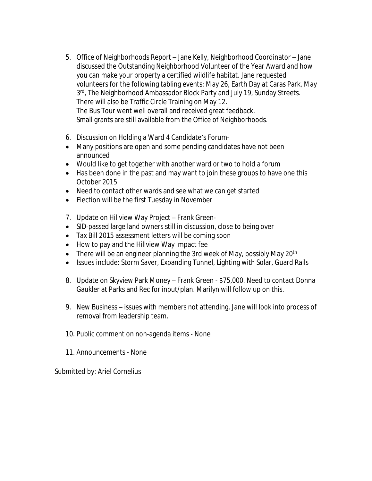- 5. Office of Neighborhoods Report Jane Kelly, Neighborhood Coordinator Jane discussed the Outstanding Neighborhood Volunteer of the Year Award and how you can make your property a certified wildlife habitat. Jane requested volunteers for the following tabling events: May 26, Earth Day at Caras Park, May 3rd, The Neighborhood Ambassador Block Party and July 19, Sunday Streets. There will also be Traffic Circle Training on May 12. The Bus Tour went well overall and received great feedback. Small grants are still available from the Office of Neighborhoods.
- 6. Discussion on Holding a Ward 4 Candidate's Forum-
- Many positions are open and some pending candidates have not been announced
- Would like to get together with another ward or two to hold a forum
- Has been done in the past and may want to join these groups to have one this October 2015
- Need to contact other wards and see what we can get started
- Election will be the first Tuesday in November
- 7. Update on Hillview Way Project Frank Green-
- SID-passed large land owners still in discussion, close to being over
- Tax Bill 2015 assessment letters will be coming soon
- How to pay and the Hillview Way impact fee
- There will be an engineer planning the 3rd week of May, possibly May 20<sup>th</sup>
- Issues include: Storm Saver, Expanding Tunnel, Lighting with Solar, Guard Rails
- 8. Update on Skyview Park Money Frank Green \$75,000. Need to contact Donna Gaukler at Parks and Rec for input/plan. Marilyn will follow up on this.
- 9. New Business issues with members not attending. Jane will look into process of removal from leadership team.
- 10. Public comment on non-agenda items None
- 11. Announcements None

Submitted by: Ariel Cornelius